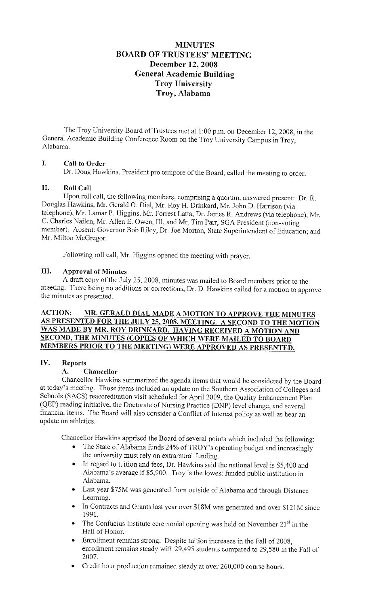# **MINUTES BOARD OF TRUSTEES' MEETING December 12, 2008 General Academic Building Troy University Troy, Alabama**

The Troy University Board of Trustees met at 1:00 p.m. on December 12, 2008, in the General Academic Building Conference Room on the Troy University Campus in Troy, Alabama.

# **I. Call to Order**

Dr. Doug Hawkins, President pro tempore of the Board, called the meeting to order.

## **II. Roll Call**

Upon roll call, the following members, comprising a quorum, answered present: Dr. R. Douglas Hawkins, Mr. Gerald 0. Dial, Mr. Roy H. Drinkard, Mr. John D. Harrison (via telephone), Mr. Lamar P. Higgins, Mr. Forrest Latta, Dr. James R. Andrews (via telephone), Mr. C. Charles Nailen, Mr. Allen E. Owen, III, and Mr. Tim Parr, SGA President (non-voting member). Absent: Governor Bob Riley, Dr. Joe Morton, State Superintendent of Education; and Mr. Milton McGregor.

Following roll call, Mr. Higgins opened the meeting with prayer.

# **III. Approval of Minutes**

A draft copy of the July 25, 2008, minutes was mailed to Board members prior to the meeting. There being no additions or corrections, Dr. D. Hawkins called for a motion to approve the minutes as presented.

## **ACTION: MR. GERALD DIAL MADE A MOTION TO APPROVE THE MINUTES AS PRESENTED FOR THE JULY 25, 2008, MEETING. A SECOND TO THE MOTION WAS MADE BY MR. ROY DRINKARD. HA YING RECEIVED A MOTION AND SECOND, THE MINUTES (COPIES OF WHICH WERE MAILED TO BOARD MEMBERS PRIOR TO THE MEETING) WERE APPROVED AS PRESENTED.**

# **IV. Reports**

## **A. Chancellor**

Chancellor Hawkins summarized the agenda items that would be considered by the Board at today's meeting. Those items included an update on the Southern Association of Colleges and Schools (SACS) reaccreditation visit scheduled for April 2009, the Quality Enhancement Plan (QEP) reading initiative, the Doctorate of Nursing Practice (DNP) level change, and several financial items. The Board will also consider a Conflict of Interest policy as well as hear an update on athletics.

Chancellor Hawkins apprised the Board of several points which included the following:

- The State of Alabama funds 24% of TROY's operating budget and increasingly the university must rely on extramural funding.
- In regard to tuition and fees, Dr. Hawkins said the national level is \$5,400 and Alabama's average if\$5,900. Troy is the lowest funded public institution in Alabama.
- Last year \$75M was generated from outside of Alabama and through Distance Learning.
- In Contracts and Grants last year over \$18M was generated and over \$121M since 1991.
- The Confucius Institute ceremonial opening was held on November  $21<sup>st</sup>$  in the Hall of Honor.
- Enrollment remains strong. Despite tuition increases in the Fall of 2008, enrollment remains steady with 29,495 students compared to 29,580 in the Fall of 2007.
- Credit hour production remained steady at over 260,000 course hours.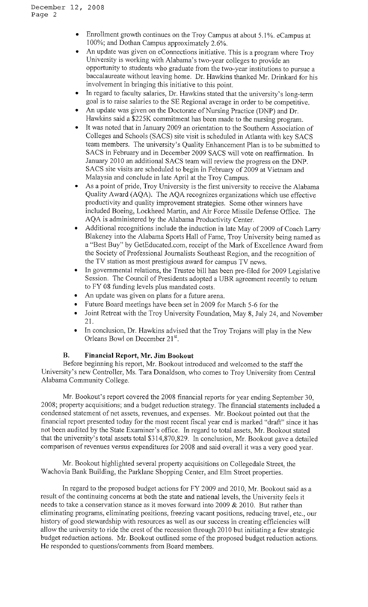- Enrollment growth continues on the Troy Campus at about 5.1%. eCampus at 100%; and Dothan Campus approximately 2.6%.
- An update was given on eConnections initiative. This is a program where Troy University is working with Alabama's two-year colleges to provide an opportunity to students who graduate from the two-year institutions to pursue a baccalaureate without leaving home. Dr. Hawkins thanked Mr. Drinkard for his involvement in bringing this initiative to this point.
- In regard to faculty salaries, Dr. Hawkins stated that the university's long-term goal is to raise salaries to the SE Regional average in order to be competitive.
- An update was given on the Doctorate of Nursing Practice (DNP) and Dr. Hawkins said a \$225K commitment has been made to the nursing program.
- It was noted that in January 2009 an orientation to the Southern Association of Colleges and Schools (SACS) site visit is scheduled in Atlanta with key SACS team members. The university's Quality Enhancement Plan is to be submitted to SACS in February and in December 2009 SACS will vote on reaffirmation. In January 2010 an additional SACS team will review the progress on the DNP. SACS site visits are scheduled to begin in February of 2009 at Vietnam and Malaysia and conclude in late April at the Troy Campus.
- As a point of pride, Troy University is the first university to receive the Alabama Quality Award (AQA). The AQA recognizes organizations which use effective productivity and quality improvement strategies. Some other winners have included Boeing, Lockheed Martin, and Air Force Missile Defense Office. The AQA is administered by the Alabama Productivity Center.
- Additional recognitions include the induction in late May of 2009 of Coach Larry Blakeney into the Alabama Sports Hall of Fame, Troy University being named as a "Best Buy" by [GetEducated.com](https://GetEducated.com), receipt of the Mark of Excellence Award from the Society of Professional Journalists Southeast Region, and the recognition of the TV station as most prestigious award for campus TV news.
- In governmental relations, the Trustee bill has been pre-filed for 2009 Legislative Session. The Council of Presidents adopted a UBR agreement recently to return to FY 08 funding levels plus mandated costs.
- An update was given on plans for a future arena.
- Future Board meetings have been set in 2009 for March 5-6 for the
- Joint Retreat with the Troy University Foundation, May 8, July 24, and November 21.
- In conclusion, Dr. Hawkins advised that the Troy Trojans will play in the New Orleans Bowl on December 21<sup>st</sup>.

## **B. Financial Report, Mr. Jim Bookout**

Before beginning his report, Mr. Bookout introduced and welcomed to the staff the University's new Controller, Ms. Tara Donaldson, who comes to Troy University from Central Alabama Community College.

Mr. Bookout's report covered the 2008 financial reports for year ending September 30, 2008; property acquisitions; and a budget reduction strategy. The financial statements included a condensed statement of net assets, revenues, and expenses. Mr. Bookout pointed out that the financial report presented today for the most recent fiscal year end is marked "draft" since it has not been audited by the State Examiner's office. In regard to total assets, Mr. Bookout stated that the university's total assets total \$314,870,829. In conclusion, Mr. Bookout gave a detailed comparison of revenues versus expenditures for 2008 and said overall it was a very good year.

Mr. Bookout highlighted several property acquisitions on Collegedale Street, the Wachovia Bank Building, the Parklane Shopping Center, and Elm Street properties.

In regard to the proposed budget actions for FY 2009 and 2010, Mr. Bookout said as a result of the continuing concerns at both the state and national levels, the University feels it needs to take a conservation stance as it moves forward into 2009  $& 2010$ . But rather than eliminating programs, eliminating positions, freezing vacant positions, reducing travel, etc., our history of good stewardship with resources as well as our success in creating efficiencies will allow the university to ride the crest of the recession through 20 IO but initiating a few strategic budget reduction actions. Mr. Bookout outlined some of the proposed budget reduction actions. He responded to questions/comments from Board members.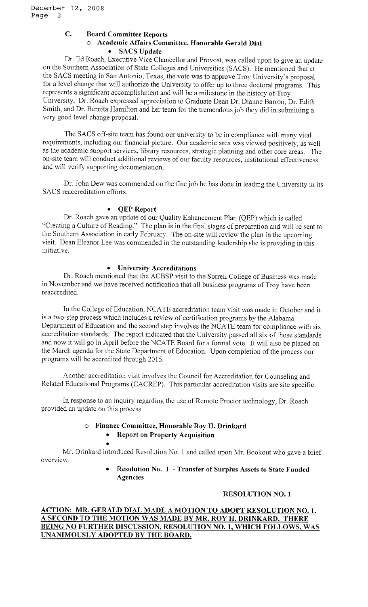#### **C. Board Committee Reports**

## o **Academic Affairs Committee, Honorable Gerald Dial**  • **SACS Update**

Dr. Ed Roach, Executive Vice Chancellor and Provost, was called upon to give an update on the Southern Association of State Colleges and Universities (SACS). He mentioned that at the SACS meeting in San Antonio, Texas, the vote was to approve Troy University's proposal for a level change that will authorize the University to offer up to three doctoral programs. This represents a significant accomplishment and will be a milestone in the history of Troy University. Dr. Roach expressed appreciation to Graduate Dean Dr. Dianne Barron, Dr. Edith Smith, and Dr. Bernita Hamilton and her team for the tremendous job they did in submitting a very good level change proposal.

The SACS off-site team has found our university to be in compliance with many vital requirements, including our financial picture. Our academic area was viewed positively, as well as the academic support services, library resources, strategic planning and other core areas. The on-site team will conduct additional reviews of our faculty resources, institutional effectiveness and will verify supporting documentation.

Dr. John Dew was commended on the fine job he has done in leading the University in its SACS reaccreditation efforts.

#### • **QEP Report**

Dr. Roach gave an update of our Quality Enhancement Plan (QEP) which is called "Creating a Culture of Reading." The plan is in the final stages of preparation and will be sent to the Southern Association in early February. The on-site will review the plan in the upcoming visit. Dean Eleanor Lee was commended in the outstanding leadership she is providing in this initiative.

#### • **University Accreditations**

Dr. Roach mentioned that the ACBSP visit to the Sorrell College of Business was made in November and we have received notification that all business programs of Troy have been reaccredited.

In the College of Education, NCA TE accreditation team visit was made in October and it is a two-step process which includes a review of certification programs by the Alabama Department of Education and the second step involves the NCATE team for compliance with six accreditation standards. The report indicated that the University passed all six of those standards and now it will go in April before the NCATE Board for a formal vote. It will also be placed on the March agenda for the State Department of Education. Upon completion of the process our programs will be accredited through 2015.

Another accreditation visit involves the Council for Accreditation for Counseling and Related Educational Programs (CACREP). This particular accreditation visits are site specific.

In response to an inquiry regarding the use of Remote Proctor technology, Dr. Roach provided an update on this process.

## o **Finance Committee, Honorable Roy H. Drinkard**

• **Report on Property Acquisition** 

• Mr. Drinkard introduced Resolution No. I and called upon Mr. Bookout who gave a brief overview.

> • **Resolution No. 1 - Transfer of Surplus Assets to State Funded Agencies**

## **RESOLUTION NO. 1**

## **ACTION: MR. GERALD DIAL MADE A MOTION TO ADOPT RESOLUTION NO. 1. A SECOND TO THE MOTION WAS MADE BY MR. ROY H. DRINKARD. THERE BEING NO FURTHER DISCUSSION, RESOLUTION NO. 1, WHICH FOLLOWS, WAS UNANIMOUSLY ADOPTED BY THE BOARD.**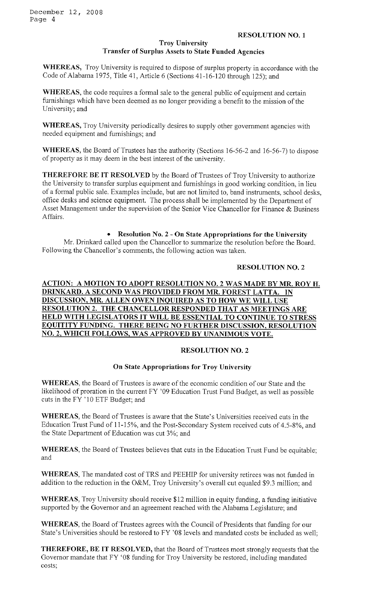#### **Troy University Transfer of Surplus Assets to State Funded Agencies**

**WHEREAS,** Troy University is required to dispose of surplus property in accordance with the Code of Alabama 1975, Title 41, Article 6 (Sections 41-16-120 through 125); and

**WHEREAS,** the code requires a formal sale to the general public of equipment and certain furnishings which have been deemed as no longer providing a benefit to the mission of the University; and

**WHEREAS,** Troy University periodically desires to supply other government agencies with needed equipment and furnishings; and

**WHEREAS,** the Board of Trustees has the authority (Sections 16-56-2 and 16-56-7) to dispose of property as it may deem in the best interest of the university.

**THEREFORE BE IT RESOLVED** by the Board of Trustees of Troy University to authorize the University to transfer surplus equipment and furnishings in good working condition, in lieu of a formal public sale. Examples include, but are not limited to, band instruments, school desks, office desks and science equipment. The process shall be implemented by the Department of Asset Management under the supervision of the Senior Vice Chancellor for Finance & Business Affairs.

• **Resolution No. 2 - On State Appropriations for the University** 

Mr. Drinkard called upon the Chancellor to summarize the resolution before the Board. Following the Chancellor's comments, the following action was taken.

## **RESOLUTION NO. 2**

## **ACTION: A MOTION TO ADOPT RESOLUTION NO. 2 WAS MADE BY MR. ROY H. DRINKARD. A SECOND WAS PROVIDED FROM MR. FOREST LATTA. IN DISCUSSION, MR. ALLEN OWEN INQUIRED AS TO HOW WE WILL USE RESOLUTION 2. THE CHANCELLOR RESPONDED THAT AS MEETINGS ARE HELD WITH LEGISLATORS IT WILL BE ESSENTIAL TO CONTINUE TO STRESS EQUITITY FUNDING. THERE BEING NO FURTHER DISCUSSION, RESOLUTION NO. 2, WHICH FOLLOWS, WAS APPROVED BY UNANIMOUS VOTE.**

## **RESOLUTION NO. 2**

## **On State Appropriations for Troy University**

**WHEREAS,** the Board of Trustees is aware of the economic condition of our State and the likelihood of proration in the current FY '09 Education Trust Fund Budget, as well as possible cuts in the FY 'IO ETF Budget; and

**WHEREAS,** the Board of Trustees is aware that the State's Universities received cuts in the Education Trust Fund of l l-15%, and the Post-Secondary System received cuts of 4.5-8%, and the State Department of Education was cut 3%; and

**WHEREAS,** the Board of Trustees believes that cuts in the Education Trust Fund be equitable; and

WHEREAS, The mandated cost of TRS and PEEHIP for university retirees was not funded in addition to the reduction in the O&M, Troy University's overall cut equaled \$9.3 million; and

**WHEREAS,** Troy University should receive \$12 million in equity funding, a funding initiative supported by the Governor and an agreement reached with the Alabama Legislature; and

**WHEREAS,** the Board of Trustees agrees with the Council of Presidents that funding for our State's Universities should be restored to FY '08 levels and mandated costs be included as well;

**THEREFORE, BE IT RESOLVED,** that the Board of Trustees most strongly requests that the Governor mandate that FY '08 funding for Troy University be restored, including mandated costs;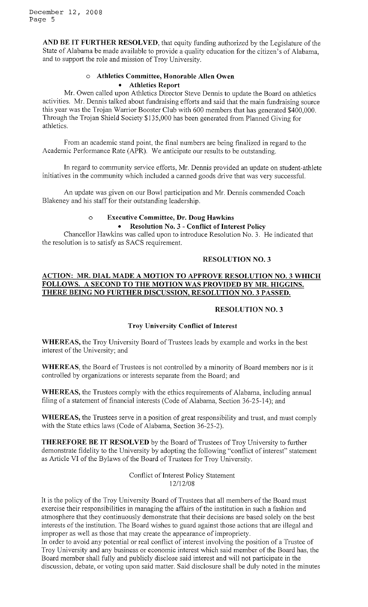**AND BE IT FURTHER RESOLVED,** that equity funding authorized by the Legislature of the State of Alabama be made available to provide a quality education for the citizen's of Alabama, and to support the role and mission of Troy University.

# o **Athletics Committee, Honorable Allen Owen**  • **Athletics Report**

Mr. Owen called upon Athletics Director Steve Dennis to update the Board on athletics activities. Mr. Dennis talked about fundraising efforts and said that the main fundraising source this year was the Trojan Warrior Booster Club with 600 members that has generated \$400,000. Through the Trojan Shield Society \$135,000 has been generated from Planned Giving for athletics.

From an academic stand point, the final numbers are being finalized in regard to the Academic Performance Rate (APR). We anticipate our results to be outstanding.

In regard to community service efforts, Mr. Dennis provided an update on student-athlete initiatives in the community which included a canned goods drive that was very successful.

An update was given on our Bowl participation and Mr. Dennis commended Coach Blakeney and his staff for their outstanding leadership.

#### o **Executive Committee, Dr. Doug Hawkins**  • **Resolution No. 3** - **Conflict of Interest Policy**

Chancellor Hawkins was called upon to introduce Resolution No. 3. He indicated that the resolution is to satisfy as SACS requirement.

## **RESOLUTION NO. 3**

## **ACTION: MR. DIAL MADE A MOTION TO APPROVE RESOLUTION NO. 3 WHICH FOLLOWS. A SECOND TO THE MOTION WAS PROVIDED BY MR. HIGGINS. THERE BEING NO FURTHER DISCUSSION, RESOLUTION NO. 3 PASSED.**

## **RESOLUTION NO. 3**

## **Troy University Conflict of Interest**

**WHEREAS,** the Troy University Board of Trustees leads by example and works in the best interest of the University; and

**WHEREAS,** the Board of Trustees is not controlled by a minority of Board members nor is it controlled by organizations or interests separate from the Board; and

**WHEREAS,** the Trustees comply with the ethics requirements of Alabama, including annual filing of a statement of financial interests (Code of Alabama, Section 36-25-14); and

**WHEREAS,** the Trustees serve in a position of great responsibility and trust, and must comply with the State ethics laws (Code of Alabama, Section 36-25-2).

**THEREFORE BE IT RESOLVED** by the Board of Trustees of Troy University to further demonstrate fidelity to the University by adopting the following "conflict of interest" statement as Article VI of the Bylaws of the Board of Trustees for Troy University.

> Conflict of Interest Policy Statement 12/12/08

It is the policy of the Troy University Board of Trustees that all members of the Board must exercise their responsibilities in managing the affairs of the institution in such a fashion and atmosphere that they continuously demonstrate that their decisions are based solely on the best interests of the institution. The Board wishes to guard against those actions that are illegal and improper as well as those that may create the appearance of impropriety.

In order to avoid any potential or real conflict of interest involving the position of a Trustee of Troy University and any business or economic interest which said member of the Board has, the Board member shall fully and publicly disclose said interest and will not participate in the discussion, debate, or voting upon said matter. Said disclosure shall be duly noted in the minutes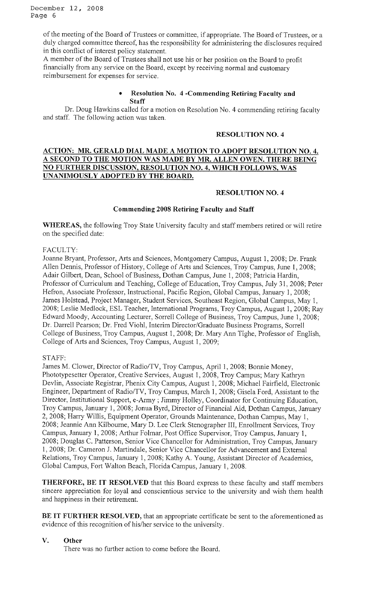December 12, 2008 Page 6

> of the meeting of the Board of Trustees or committee, if appropriate. The Board of Trustees, or a duly charged committee thereof, has the responsibility for administering the disclosures required in this conflict of interest policy statement.

A member of the Board of Trustees shall not use his or her position on the Board to profit financially from any service on the Board, except by receiving normal and customary reimbursement for expenses for service.

#### • **Resolution No. 4 -Commending Retiring Faculty and Staff**

Dr. Doug Hawkins called for a motion on Resolution No. 4 commending retiring faculty and staff. The following action was taken.

#### **RESOLUTION NO. 4**

## **ACTION: MR. GERALD DIAL MADE A MOTION TO ADOPT RESOLUTION NO. 4. A SECOND TO THE MOTION WAS MADE BY MR. ALLEN OWEN. THERE BEING NO FURTHER DISCUSSION, RESOLUTION NO. 4, WHICH FOLLOWS, WAS UNANIMOUSLY ADOPTED BY THE BOARD.**

## **RESOLUTION NO. 4**

#### **Commending 2008 Retiring Faculty and Staff**

**WHEREAS,** the following Troy State University faculty and staff members retired or will retire on the specified date:

#### FACULTY:

Joanne Bryant, Professor, Arts and Sciences, Montgomery Campus, August 1, 2008; Dr. Frank Allen Dennis, Professor of History, College of Arts and Sciences, Troy Campus, June 1, 2008; Adair Gilbert, Dean, School of Business, Dothan Campus, June 1, 2008; Patricia Hardin, Professor of Curriculum and Teaching, College of Education, Troy Campus, July 31, 2008; Peter Hefron, Associate Professor, Instructional, Pacific Region, Global Campus, January 1, 2008; James Holstead, Project Manager, Student Services, Southeast Region, Global Campus, May 1, 2008; Leslie Medlock, ESL Teacher, International Programs, Troy Campus, August 1, 2008; Ray Edward Moody, Accounting Lecturer, Sorrell College of Business, Troy Campus, June I, 2008; Dr. Darrell Pearson; Dr. Fred Viohl, Interim Director/Graduate Business Programs, Sorrell College of Business, Troy Campus, August I, 2008; Dr. Mary Ann Tighe, Professor of English, College of Arts and Sciences, Troy Campus, August 1, 2009;

#### STAFF:

James M. Clower, Director of Radio/TV, Troy Campus, April I, 2008; Bonnie Money, Phototypesetter Operator, Creative Services, August 1, 2008, Troy Campus; Mary Kathryn Devlin, Associate Registrar, Phenix City Campus, August 1, 2008; Michael Fairfield, Electronic Engineer, Department of Radio/TV, Troy Campus, March 1, 2008; Gisela Ford, Assistant to the Director, Institutional Support, e-Army ; Jimmy Holley, Coordinator for Continuing Education, Troy Campus, January 1, 2008; Jonua Byrd, Director of Financial Aid, Dothan Campus, January 2, 2008; Harry Willis, Equipment Operator, Grounds Maintenance, Dothan Campus, May 1, 2008; Jeannie Ann Kilbourne, Mary D. Lee Clerk Stenographer III, Enrollment Services, Troy Campus, January 1, 2008; Arthur Folmar, Post Office Supervisor, Troy Campus, January 1, 2008; Douglas C. Patterson, Senior Vice Chancellor for Administration, Troy Campus, January I, 2008; Dr. Cameron J. Martindale, Senior Vice Chancellor for Advancement and External Relations, Troy Campus, January 1, 2008; Kathy A. Young, Assistant Director of Academics, Global Campus, Fort Walton Beach, Florida Campus, January I, 2008.

**THERFO RE, BE IT RESOLVED** that this Board express to these faculty and staff members sincere appreciation for loyal and conscientious service to the university and wish them health and happiness in their retirement.

**BE IT FURTHER RESOLVED,** that an appropriate certificate be sent to the aforementioned as evidence of this recognition of his/her service to the university.

#### **V. Other**

There was no further action to come before the Board.